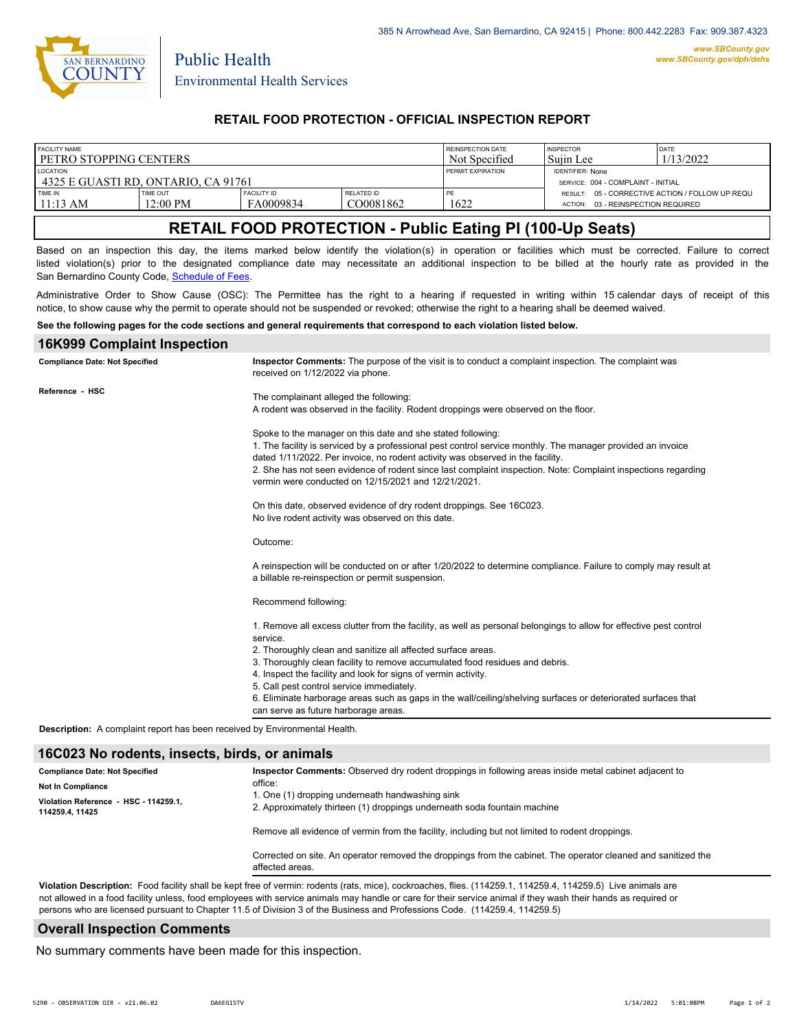

Public Health

## **RETAIL FOOD PROTECTION - OFFICIAL INSPECTION REPORT**

| <b>FACILITY NAME</b>                |                    |             |                   | <b>REINSPECTION DATE</b> | <b>INSPECTOR</b>                                | <b>IDATE</b> |
|-------------------------------------|--------------------|-------------|-------------------|--------------------------|-------------------------------------------------|--------------|
| PETRO STOPPING CENTERS              |                    |             |                   | Not Specified            | Suiin Lee                                       | 1/13/2022    |
| LOCATION                            |                    |             |                   | <b>PERMIT EXPIRATION</b> | <b>IDENTIFIER: None</b>                         |              |
| 4325 E GUASTI RD. ONTARIO. CA 91761 |                    |             |                   |                          | SERVICE: 004 - COMPLAINT - INITIAL              |              |
| TIME IN                             | TIME OUT           | FACILITY ID | <b>RELATED ID</b> | PE                       | RESULT: 05 - CORRECTIVE ACTION / FOLLOW UP REQU |              |
| $11:13 \text{ AM}$                  | $12:00 \text{ PM}$ | FA0009834   | CO0081862         | 1622                     | ACTION: 03 - REINSPECTION REQUIRED              |              |
|                                     |                    |             |                   |                          |                                                 |              |

# **RETAIL FOOD PROTECTION - Public Eating Pl (100-Up Seats)**

Based on an inspection this day, the items marked below identify the violation(s) in operation or facilities which must be corrected. Failure to correct listed violation(s) prior to the designated compliance date may necessitate an additional inspection to be billed at the hourly rate as provided in the San Bernardino County Code, Schedule of Fees

Administrative Order to Show Cause (OSC): The Permittee has the right to a hearing if requested in writing within 15 calendar days of receipt of this notice, to show cause why the permit to operate should not be suspended or revoked; otherwise the right to a hearing shall be deemed waived.

#### **See the following pages for the code sections and general requirements that correspond to each violation listed below.**

### **16K999 Complaint Inspection**

| <b>Compliance Date: Not Specified</b>                                      | Inspector Comments: The purpose of the visit is to conduct a complaint inspection. The complaint was<br>received on 1/12/2022 via phone.                                                                                                                                                                                                                                                                                                                                                                                                               |
|----------------------------------------------------------------------------|--------------------------------------------------------------------------------------------------------------------------------------------------------------------------------------------------------------------------------------------------------------------------------------------------------------------------------------------------------------------------------------------------------------------------------------------------------------------------------------------------------------------------------------------------------|
| Reference - HSC                                                            | The complainant alleged the following:<br>A rodent was observed in the facility. Rodent droppings were observed on the floor.                                                                                                                                                                                                                                                                                                                                                                                                                          |
|                                                                            | Spoke to the manager on this date and she stated following:<br>1. The facility is serviced by a professional pest control service monthly. The manager provided an invoice<br>dated 1/11/2022. Per invoice, no rodent activity was observed in the facility.<br>2. She has not seen evidence of rodent since last complaint inspection. Note: Complaint inspections regarding<br>vermin were conducted on 12/15/2021 and 12/21/2021.                                                                                                                   |
|                                                                            | On this date, observed evidence of dry rodent droppings. See 16C023.<br>No live rodent activity was observed on this date.                                                                                                                                                                                                                                                                                                                                                                                                                             |
|                                                                            | Outcome:                                                                                                                                                                                                                                                                                                                                                                                                                                                                                                                                               |
|                                                                            | A reinspection will be conducted on or after 1/20/2022 to determine compliance. Failure to comply may result at<br>a billable re-reinspection or permit suspension.                                                                                                                                                                                                                                                                                                                                                                                    |
|                                                                            | Recommend following:                                                                                                                                                                                                                                                                                                                                                                                                                                                                                                                                   |
|                                                                            | 1. Remove all excess clutter from the facility, as well as personal belongings to allow for effective pest control<br>service.<br>2. Thoroughly clean and sanitize all affected surface areas.<br>3. Thoroughly clean facility to remove accumulated food residues and debris.<br>4. Inspect the facility and look for signs of vermin activity.<br>5. Call pest control service immediately.<br>6. Eliminate harborage areas such as gaps in the wall/ceiling/shelving surfaces or deteriorated surfaces that<br>can serve as future harborage areas. |
| Description: A complaint report has been received by Environmental Health. |                                                                                                                                                                                                                                                                                                                                                                                                                                                                                                                                                        |

#### **16C023 No rodents, insects, birds, or animals**

| <b>Compliance Date: Not Specified</b><br><b>Not In Compliance</b><br>Violation Reference - HSC - 114259.1,<br>114259.4, 11425 | Inspector Comments: Observed dry rodent droppings in following areas inside metal cabinet adjacent to<br>office:<br>1. One (1) dropping underneath handwashing sink<br>2. Approximately thirteen (1) droppings underneath soda fountain machine |  |  |  |
|-------------------------------------------------------------------------------------------------------------------------------|-------------------------------------------------------------------------------------------------------------------------------------------------------------------------------------------------------------------------------------------------|--|--|--|
|                                                                                                                               | Remove all evidence of vermin from the facility, including but not limited to rodent droppings.                                                                                                                                                 |  |  |  |
|                                                                                                                               | Corrected on site. An operator removed the droppings from the cabinet. The operator cleaned and sanitized the<br>affected areas.                                                                                                                |  |  |  |

**Violation Description:** Food facility shall be kept free of vermin: rodents (rats, mice), cockroaches, flies. (114259.1, 114259.4, 114259.5) Live animals are not allowed in a food facility unless, food employees with service animals may handle or care for their service animal if they wash their hands as required or persons who are licensed pursuant to Chapter 11.5 of Division 3 of the Business and Professions Code. (114259.4, 114259.5)

### **Overall Inspection Comments**

No summary comments have been made for this inspection.